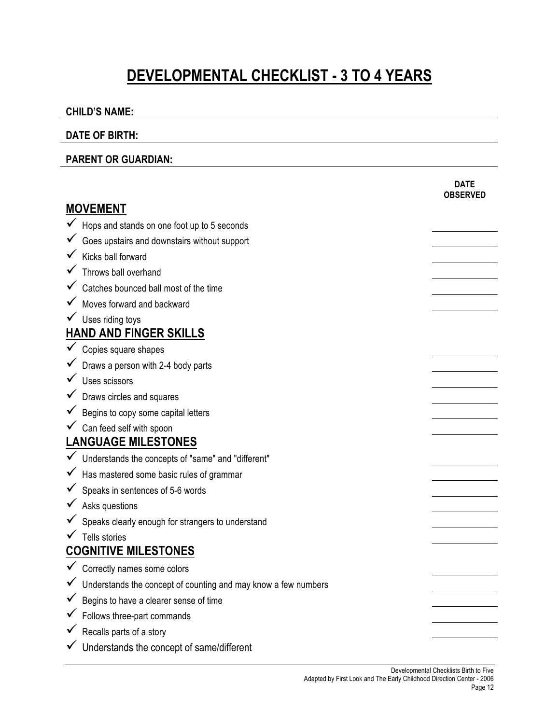# **DEVELOPMENTAL CHECKLIST - 3 TO 4 YEARS**

#### **CHILD'S NAME:**

#### **DATE OF BIRTH:**

#### **PARENT OR GUARDIAN:**

|                             |                                                                | <b>DATE</b><br><b>OBSERVED</b> |  |
|-----------------------------|----------------------------------------------------------------|--------------------------------|--|
| <b>MOVEMENT</b>             |                                                                |                                |  |
|                             | Hops and stands on one foot up to 5 seconds                    |                                |  |
|                             | Goes upstairs and downstairs without support                   |                                |  |
|                             | Kicks ball forward                                             |                                |  |
|                             | Throws ball overhand                                           |                                |  |
|                             | Catches bounced ball most of the time                          |                                |  |
|                             | Moves forward and backward                                     |                                |  |
|                             | Uses riding toys                                               |                                |  |
|                             | <b>HAND AND FINGER SKILLS</b>                                  |                                |  |
|                             | Copies square shapes                                           |                                |  |
|                             | Draws a person with 2-4 body parts                             |                                |  |
|                             | Uses scissors                                                  |                                |  |
|                             | Draws circles and squares                                      |                                |  |
|                             | Begins to copy some capital letters                            |                                |  |
|                             | Can feed self with spoon                                       |                                |  |
| <b>LANGUAGE MILESTONES</b>  |                                                                |                                |  |
|                             | Understands the concepts of "same" and "different"             |                                |  |
|                             | Has mastered some basic rules of grammar                       |                                |  |
|                             | Speaks in sentences of 5-6 words                               |                                |  |
|                             | Asks questions                                                 |                                |  |
|                             | Speaks clearly enough for strangers to understand              |                                |  |
|                             | Tells stories                                                  |                                |  |
| <b>COGNITIVE MILESTONES</b> |                                                                |                                |  |
|                             | Correctly names some colors                                    |                                |  |
|                             | Understands the concept of counting and may know a few numbers |                                |  |
|                             | Begins to have a clearer sense of time                         |                                |  |
|                             | Follows three-part commands                                    |                                |  |
|                             | Recalls parts of a story                                       |                                |  |
|                             | Understands the concept of same/different                      |                                |  |